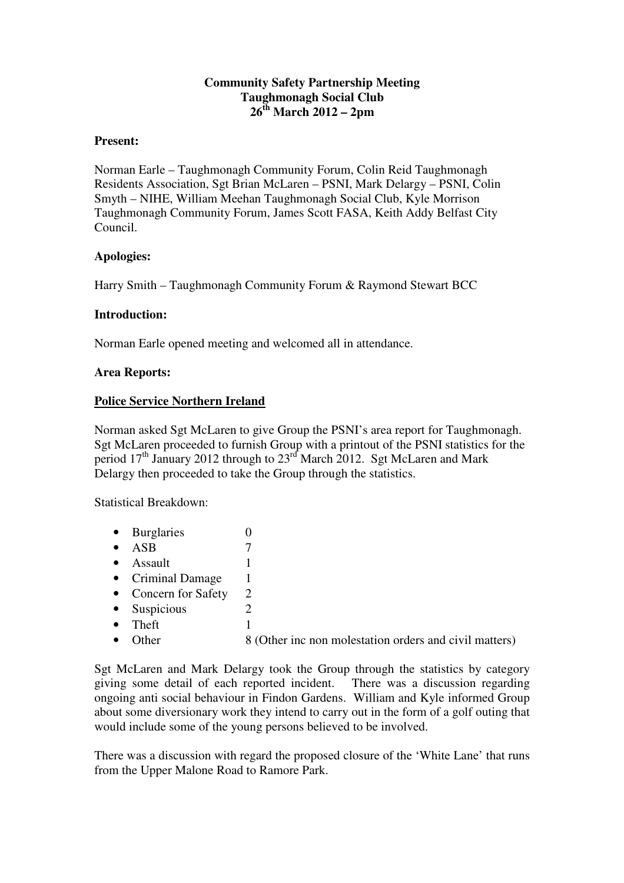### **Community Safety Partnership Meeting Taughmonagh Social Club 26th March 2012 – 2pm**

### **Present:**

Norman Earle – Taughmonagh Community Forum, Colin Reid Taughmonagh Residents Association, Sgt Brian McLaren – PSNI, Mark Delargy – PSNI, Colin Smyth – NIHE, William Meehan Taughmonagh Social Club, Kyle Morrison Taughmonagh Community Forum, James Scott FASA, Keith Addy Belfast City Council.

### **Apologies:**

Harry Smith – Taughmonagh Community Forum & Raymond Stewart BCC

### **Introduction:**

Norman Earle opened meeting and welcomed all in attendance.

### **Area Reports:**

### **Police Service Northern Ireland**

Norman asked Sgt McLaren to give Group the PSNI's area report for Taughmonagh. Sgt McLaren proceeded to furnish Group with a printout of the PSNI statistics for the period  $17<sup>th</sup>$  January 2012 through to  $23<sup>rd</sup>$  March 2012. Sgt McLaren and Mark Delargy then proceeded to take the Group through the statistics.

Statistical Breakdown:

- Burglaries 0 •  $ASB$  7 • Assault  $1$ • Criminal Damage 1 • Concern for Safety 2 • Suspicious 2 • Theft  $1$
- Other 8 (Other inc non molestation orders and civil matters)

Sgt McLaren and Mark Delargy took the Group through the statistics by category giving some detail of each reported incident. There was a discussion regarding ongoing anti social behaviour in Findon Gardens. William and Kyle informed Group about some diversionary work they intend to carry out in the form of a golf outing that would include some of the young persons believed to be involved.

There was a discussion with regard the proposed closure of the 'White Lane' that runs from the Upper Malone Road to Ramore Park.